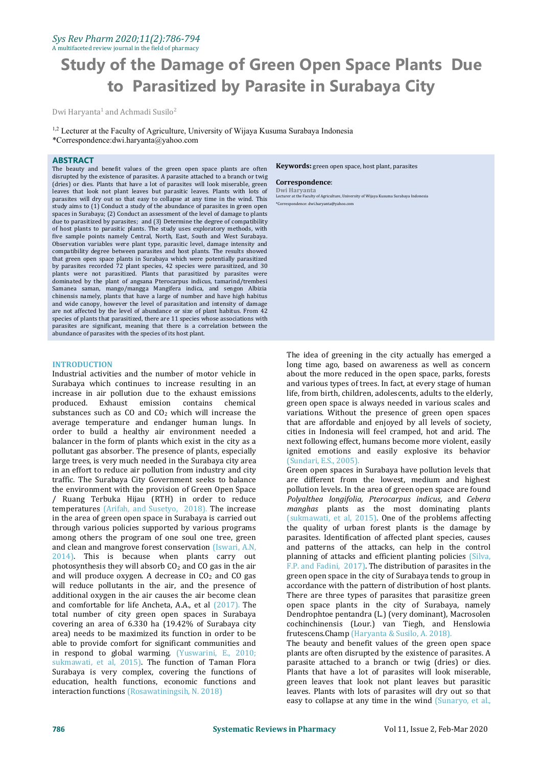### *Sys Rev Pharm 2020;11(2):786-794* A multifaceted review journal in the field of pharmacy

# **Study of the Damage of Green Open Space Plants Due to Parasitized by Parasite in Surabaya City**

Dwi Haryanta <sup>1</sup> and Achmadi Susilo 2

<sup>1,2</sup> Lecturer at the Faculty of Agriculture, University of Wijaya Kusuma Surabaya Indonesia \*Correspondence:dwi.haryanta@yahoo.com

### **ABSTRACT**

The beauty and benefit values of the green open space plants are often disrupted by the existence of parasites. A parasite attached to a branch or twig<br>(drive) an disc Plants that have a lot of parasites will look miserable green. **Correspondence:** (dries) or dies. Plants that have a lot of parasites will look miserable, green leaves that look not plant leaves but parasitic leaves. Plants with lots of parasites will dry out so that easy to collapse at any time in the wind. This study aims to (1) Conduct a study of the abundance of parasites in green open spaces in Surabaya; (2) Conduct an assessment of the level of damage to plants due to parasitized by parasites; and (3) Determine the degree of compatibility of host plants to parasitic plants. The study uses exploratory methods, with five sample points namely Central, North, East, South and West Surabaya. Observation variables were plant type, parasitic level, damage intensity and compatibility degree between parasites and host plants. The results showed that green open space plants in Surabaya which were potentially parasitized by parasites recorded 72 plant species, 42 species were parasitized, and 30 plants were not parasitized. Plants that parasitized by parasites were dominated by the plant of angsana Pterocarpus indicus, tamarind/trembesi Samanea saman, mango/mangga Mangifera indica, and sengon Albizia chinensis namely, plants that have a large of number and have high habitus and wide canopy, however the level of parasitation and intensity of damage are not affected by the level of abundance or size of plant habitus. From 42 species of plants that parasitized, there are 11 species whose associations with parasites are significant, meaning that there is a correlation between the abundance of parasites with the species of its host plant.

## **INTRODUCTION**

Industrial activities and the number of motor vehicle in Surabaya which continues to increase resulting in an increase in air pollution due to the exhaust emissions produced. Exhaust emission contains chemical substances such as  $CO$  and  $CO<sub>2</sub>$  which will increase the average temperature and endanger human lungs. In order to build a healthy air environment needed a balancer in the form of plants which exist in the city as a pollutant gas absorber. The presence of plants, especially large trees, is very much needed in the Surabaya city area in an effort to reduce air pollution from industry and city traffic. The Surabaya City Government seeks to balance the environment with the provision of Green Open Space temperatures (Arifah, and Susetyo, 2018). The increase in the area of green open space in Surabaya is carried out through various policies supported by various programs among others the program of one soul one tree, green and clean and mangrove forest conservation (Iswari, A.N, 2014). This is because when plants carry out photosynthesis they will absorb  $CO<sub>2</sub>$  and CO gas in the air and will produce oxygen. A decrease in  $CO<sub>2</sub>$  and CO gas will reduce pollutants in the air, and the presence of additional oxygen in the air causes the air become clean and comfortable for life Ancheta, A.A., et al (2017). The total number of city green open spaces in Surabaya covering an area of 6.330 ha (19.42% of Surabaya city area) needs to be maximized its function in order to be able to provide comfort for significant communities and in respond to global warming. (Yuswarini, E., 2010; sukmawati, et al, 2015). The function of Taman Flora Surabaya is very complex, covering the functions of education, health functions, economic functions and interaction functions (Rosawatiningsih, N. 2018)

**Keywords:** green open space, host plant, parasites

**Correspondence**: **Dwi Haryanta** Lecturer at the Faculty of Agriculture, University of Wijaya Kusuma Surabaya Indonesia \*Correspondence: dwi.haryanta@yahoo.com

The idea of greening in the city actually has emerged a long time ago, based on awareness as well as concern about the more reduced in the open space, parks, forests and various types of trees. In fact, at every stage of human life, from birth, children, adolescents, adults to the elderly, green open space is always needed in various scales and variations. Without the presence of green open spaces that are affordable and enjoyed by all levels of society, cities in Indonesia will feel cramped, hot and arid. The next following effect, humans become more violent, easily ignited emotions and easily explosive its behavior (Sundari, E.S., 2005).

Ruang Terbuka Hijau (RTH) in order to reduce *Polyalthea longifolia, Pterocarpus indicus*, and *Cebera*<br>mperatures (Arifah, and Susetyo, 2018). The increase *manghas* plants as the most dominating plants Green open spaces in Surabaya have pollution levels that are different from the lowest, medium and highest pollution levels. In the area of green open space are found *Polyalthea longifolia, Pterocarpus indicus, and Cebera* (sukmawati, et al, 2015). One of the problems affecting the quality of urban forest plants is the damage by parasites. Identification of affected plant species, causes and patterns of the attacks, can help in the control planning of attacks and efficient planting policies (Silva, F.P. and Fadini, 2017). The distribution of parasites in the green open space in the city of Surabaya tends to group in accordance with the pattern of distribution of host plants. There are three types of parasites that parasitize green open space plants in the city of Surabaya, namely Dendrophtoe pentandra (L.) (very dominant), Macrosolen cochinchinensis (Lour.) van Tiegh, and Henslowia frutescens.Champ (Haryanta & Susilo, A. 2018).

The beauty and benefit values of the green open space plants are often disrupted by the existence of parasites. A parasite attached to a branch or twig (dries) or dies. Plants that have a lot of parasites will look miserable, green leaves that look not plant leaves but parasitic leaves. Plants with lots of parasites will dry out so that easy to collapse at any time in the wind (Sunaryo, et al.,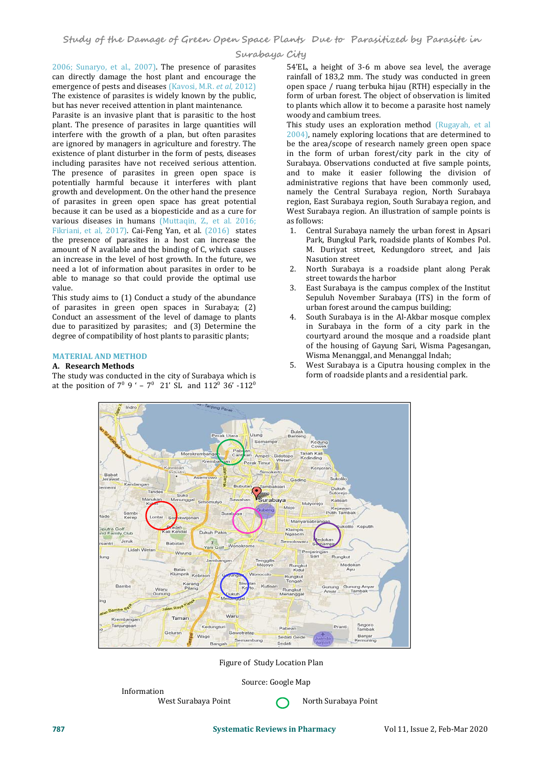2006; Sunaryo, et al., 2007). The presence of parasites can directly damage the host plant and encourage the emergence of pests and diseases (Kavosi, M.R. *et al*, 2012) The existence of parasites is widely known by the public, but has never received attention in plant maintenance.

Parasite is an invasive plant that is parasitic to the host plant. The presence of parasites in large quantities will interfere with the growth of a plan, but often parasites are ignored by managers in agriculture and forestry. The existence of plant disturber in the form of pests, diseases including parasites have not received serious attention. The presence of parasites in green open space is potentially harmful because it interferes with plant growth and development. On the other hand the presence of parasites in green open space has great potential because it can be used as a biopesticide and as a cure for various diseases in humans (Muttaqin, Z., et al. 2016;<br>Fikriani et al. 2017) Cai-Feng Yan et al. (2016) states 1 Fikriani, et al, 2017). Cai-Feng Yan, et al. (2016) states the presence of parasites in a host can increase the amount of N available and the binding of C, which causes an increase in the level of host growth. In the future, we need a lot of information about parasites in order to be need a lot of information about parasites in order to be able to manage so that could provide the optimal use value.

This study aims to (1) Conduct a study of the abundance of parasites in green open spaces in Surabaya; (2)<br>Conduct an assessment of the level of damage to plants 4 Conduct an assessment of the level of damage to plants due to parasitized by parasites; and (3) Determine the degree of compatibility of host plants to parasitic plants;

# **MATERIAL AND METHOD**

# **A. Research Methods**

The study was conducted in the city of Surabaya which is at the position of  $7^0$  9 ' –  $7^0$  21' SL and 112<sup>0</sup> 36' -112<sup>0</sup> 0

54'EL, a height of 3-6 m above sea level, the average rainfall of 183,2 mm. The study was conducted in green open space / ruang terbuka hijau (RTH) especially in the form of urban forest. The object of observation is limited to plants which allow it to become a parasite host namely woody and cambium trees.

This study uses an exploration method (Rugayah, et al 2004), namely exploring locations that are determined to be the area/scope of research namely green open space in the form of urban forest/city park in the city of Surabaya. Observations conducted at five sample points, and to make it easier following the division of administrative regions that have been commonly used, namely the Central Surabaya region, North Surabaya region, East Surabaya region, South Surabaya region, and West Surabaya region. An illustration of sample points is as follows:

- 1. Central Surabaya namely the urban forest in Apsari Park, Bungkul Park, roadside plants of Kombes Pol. M. Duriyat street, Kedungdoro street, and Jais Nasution street
- 2. North Surabaya is a roadside plant along Perak street towards the harbor
- East Surabaya is the campus complex of the Institut Sepuluh November Surabaya (ITS) in the form of urban forest around the campus building;
- South Surabaya is in the Al-Akbar mosque complex in Surabaya in the form of a city park in the courtyard around the mosque and a roadside plant of the housing of Gayung Sari, Wisma Pagesangan, Wisma Menanggal, and Menanggal Indah;
- 5. West Surabaya is a Ciputra housing complex in the form of roadside plants and a residential park.



Figure of Study Location Plan

Source: Google Map

Information<br>West Surabaya Point **North Surabaya Point** North Surabaya Point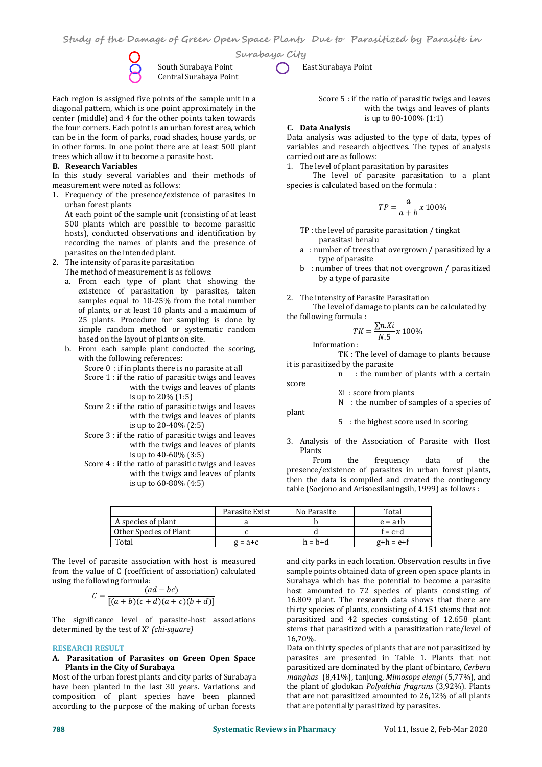

**Surabaya City** South Surabaya Point **Communist Contracts** East Surabaya Point

Each region is assigned five points of the sample unit in a diagonal pattern, which is one point approximately in the center (middle) and 4 for the other points taken towards the four corners. Each point is an urban forest area, which can be in the form of parks, road shades, house yards, or in other forms. In one point there are at least 500 plant trees which allow it to becomea parasite host. **B. Research Variables**

Central Surabaya Point

In this study several variables and their methods of measurement were noted as follows:

1. Frequency of the presence/existence of parasites in urban forest plants

At each point of the sample unit (consisting of at least 500 plants which are possible to become parasitic hosts), conducted observations and identification by recording the names of plants and the presence of parasites on the intended plant.

- 2. The intensity of parasite parasitation The method of measurement is as follows:
	- a. From each type of plant that showing the existence of parasitation by parasites, taken<br>samples equal to 10-25% from the total number of plants, or at least 10 plants and a maximum of 25 plants. Procedure for sampling is done by simple random method or systematic random based on the layout of plants on site.
	- b. From each sample plant conducted the scoring, with the following references:
		- Score 0 : if in plants there is no parasite at all
		- Score 1 : if the ratio of parasitic twigs and leaves with the twigs and leaves of plants is up to 20% (1:5)
		- Score 2 : if the ratio of parasitic twigs and leaves with the twigs and leaves of plants is up to 20-40% (2:5)
		- Score 3 : if the ratio of parasitic twigs and leaves with the twigs and leaves of plants is up to  $40-60\%$  (3:5) Plants<br>requested by the set of population terms on a leave of the set of the From
		- Score 4 : if the ratio of parasitic twigs and leaves with the twigs and leaves of plants is up to 60-80% (4:5)

Score 5 : if the ratio of parasitic twigs and leaves with the twigs and leaves of plants is up to 80-100% (1:1)

**C. Data Analysis**

Data analysis was adjusted to the type of data, types of variables and research objectives. The types of analysis carried out are as follows:

1. The level of plant parasitation by parasites

The level of parasite parasitation to a plant species is calculated based on the formula :

$$
TP = \frac{a}{a+b} \times 100\%
$$

- TP : the level of parasite parasitation / tingkat parasitasi benalu
- a : number of trees that overgrown / parasitized by a type of parasite
- b : number of trees that not overgrown / parasitized by a type of parasite

#### 2. The intensity of Parasite Parasitation

The level of damage to plants can be calculated by the following formula :

$$
TK = \frac{\sum n.Xi}{N.5} \times 100\%
$$

Information :

score

plant

TK : The level of damage to plants because it is parasitized by the parasite

n : the number of plants with a certain

Xi : score from plants

N : the number of samples of a species of

5 : the highest score used in scoring

3. Analysis of the Association of Parasite with Host Plants<br>From the

frequency data of the presence/existence of parasites in urban forest plants, then the data is compiled and created the contingency table (Soejono and Arisoesilaningsih, 1999) as follows :

|                        | Parasite Exist | No Parasite | Total       |
|------------------------|----------------|-------------|-------------|
| A species of plant     |                |             | $e = a + b$ |
| Other Species of Plant |                |             | $f = c + d$ |
| Total                  | $g = a + c$    | $h = h + d$ | $g+h = e+f$ |

The level of parasite association with host is measured from the value of C (coefficient of association) calculated using the following formula:

$$
C = \frac{(ad - bc)}{[(a+b)(c+d)(a+c)(b+d)]}
$$
 host am  
16.809 p

The significance level of parasite-host associations determined by the test of X <sup>2</sup> *(chi-square)*

#### **RESEARCH RESULT**

# **Plants in the City of Surabaya**

Most of the urban forest plants and city parks of Surabaya have been planted in the last 30 years. Variations and composition of plant species have been planned according to the purpose of the making of urban forests

and city parks in each location. Observation results in five sample points obtained data of green open space plants in Surabaya which has the potential to become a parasite host amounted to 72 species of plants consisting of 16.809 plant. The research data shows that there are thirty species of plants, consisting of 4.151 stems that not parasitized and 42 species consisting of 12.658 plant stems that parasitized with a parasitization rate/level of 16,70%.

**A. Parasitation of Parasites on Green Open Space** Data on thirty species of plants that are not parasitized by parasites are presented in Table 1. Plants that not parasitized are dominated by the plant of bintaro, *Cerbera manghas* (8,41%), tanjung, *Mimosops elengi* (5,77%), and the plant of glodokan *Polyalthia fragrans* (3,92%). Plants that are not parasitized amounted to 26,12% of all plants that are potentially parasitized by parasites.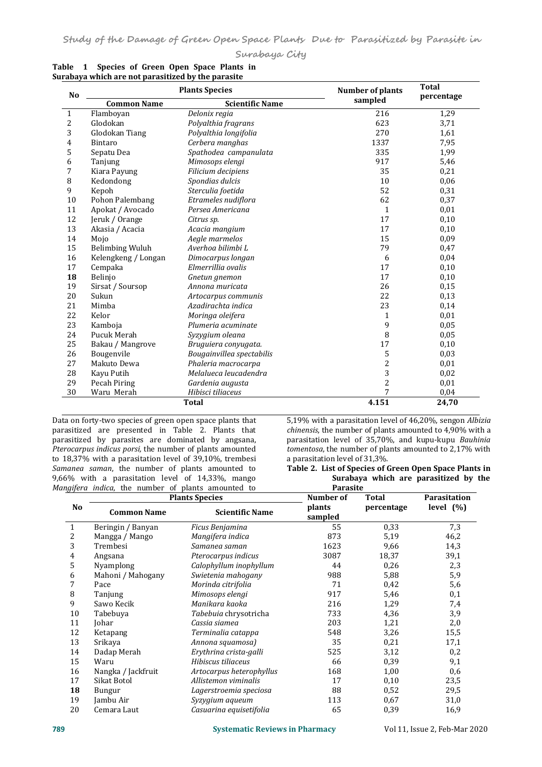| Surabaya City |
|---------------|
|---------------|

| N <sub>o</sub><br>1<br>2<br>3<br>4<br>5<br>6 | <b>Common Name</b><br>Flamboyan<br>Glodokan<br>Glodokan Tiang | <b>Scientific Name</b><br>Delonix regia | sampled<br>216 | percentage |
|----------------------------------------------|---------------------------------------------------------------|-----------------------------------------|----------------|------------|
|                                              |                                                               |                                         |                |            |
|                                              |                                                               |                                         |                | 1,29       |
|                                              |                                                               | Polyalthia fragrans                     | 623            | 3,71       |
|                                              |                                                               | Polyalthia longifolia                   | 270            | 1,61       |
|                                              | <b>Bintaro</b>                                                | Cerbera manghas                         | 1337           | 7,95       |
|                                              | Sepatu Dea                                                    | Spathodea campanulata                   | 335            | 1,99       |
|                                              | Tanjung                                                       | Mimosops elengi                         | 917            | 5,46       |
| 7                                            | Kiara Payung                                                  | Filicium decipiens                      | 35             | 0,21       |
| 8                                            | Kedondong                                                     | Spondias dulcis                         | 10             | 0,06       |
| 9                                            | Kepoh                                                         | Sterculia foetida                       | 52             | 0,31       |
| 10                                           | Pohon Palembang                                               | Etrameles nudiflora                     | 62             | 0,37       |
| 11                                           | Apokat / Avocado                                              | Persea Americana                        | $\mathbf{1}$   | 0,01       |
| 12                                           | Jeruk / Orange                                                | Citrus sp.                              | 17             | 0,10       |
| 13                                           | Akasia / Acacia                                               | Acacia mangium                          | 17             | 0,10       |
| 14                                           | Mojo                                                          | Aegle marmelos                          | 15             | 0,09       |
| 15                                           | <b>Belimbing Wuluh</b>                                        | Averhoa bilimbi L                       | 79             | 0,47       |
| 16                                           | Kelengkeng / Longan                                           | Dimocarpus longan                       | 6              | 0,04       |
| 17                                           | Cempaka                                                       | Elmerrillia ovalis                      | 17             | 0,10       |
| 18                                           | Belinjo                                                       | Gnetun gnemon                           | 17             | 0,10       |
| 19                                           | Sirsat / Soursop                                              | Annona muricata                         | 26             | 0,15       |
| 20                                           | Sukun                                                         | Artocarpus communis                     | 22             | 0,13       |
| 21                                           | Mimba                                                         | Azadirachta indica                      | 23             | 0,14       |
| 22                                           | Kelor                                                         | Moringa oleifera                        | 1              | 0,01       |
| 23                                           | Kamboja                                                       | Plumeria acuminate                      | 9              | 0,05       |
| 24                                           | Pucuk Merah                                                   | Syzygium oleana                         | 8              | 0,05       |
| 25                                           | Bakau / Mangrove                                              | Bruguiera conyugata.                    | 17             | 0,10       |
| 26                                           | Bougenvile                                                    | Bougainvillea spectabilis               | 5              | 0,03       |
| 27                                           | Makuto Dewa                                                   | Phaleria macrocarpa                     | $\overline{c}$ | 0,01       |
| 28                                           | Kayu Putih                                                    | Melalueca leucadendra                   | 3              | 0,02       |
| 29                                           | Pecah Piring                                                  | Gardenia augusta                        | $\overline{2}$ | 0,01       |
| 30                                           | Waru Merah                                                    | Hibisci tiliaceus                       | 7              | 0,04       |
|                                              |                                                               | <b>Total</b>                            | 4.151          | 24,70      |

|  | Table 1 Species of Green Open Space Plants in      |  |  |
|--|----------------------------------------------------|--|--|
|  | Surabaya which are not parasitized by the parasite |  |  |

Data on forty-two species of green open space plants that parasitized are presented in Table 2. Plants that parasitized by parasites are dominated by angsana, *Pterocarpus indicus porsi,* the number of plants amounted *tomentosa*, the number of plants to 18,37% with a parasitation level of 39,10%, trembesi a parasitation level of 31,3%. to 18,37% with a parasitation level of 39,10%, trembesi *Samanea saman*, the number of plants amounted to Mangifera indica, the number of plants amounted to

5,19% with a parasitation level of 46,20%, sengon *Albizia chinensis*, the number of plants amounted to 4,90% with a parasitation level of 35,70%, and kupu-kupu *Bauhinia tomentosa*, the number of plants amounted to 2,17% with

<sup>a</sup> parasitation level of 31,3%. **Table 2. List of Species of Green Open Space Plants in Surabaya which are parasitized by the Parasite**

|    | <b>Plants Species</b> | Number of                | <b>Total</b>      | <b>Parasitation</b> |              |
|----|-----------------------|--------------------------|-------------------|---------------------|--------------|
| No | <b>Common Name</b>    | <b>Scientific Name</b>   | plants<br>sampled | percentage          | level $(\%)$ |
|    | Beringin / Banyan     | Ficus Benjamina          | 55                | 0,33                | 7,3          |
| 2  | Mangga / Mango        | Mangifera indica         | 873               | 5,19                | 46,2         |
| 3  | Trembesi              | Samanea saman            | 1623              | 9,66                | 14,3         |
| 4  | Angsana               | Pterocarpus indicus      | 3087              | 18,37               | 39,1         |
| 5  | Nyamplong             | Calophyllum inophyllum   | 44                | 0,26                | 2,3          |
| 6  | Mahoni / Mahogany     | Swietenia mahogany       | 988               | 5,88                | 5,9          |
|    | Pace                  | Morinda citrifolia       | 71                | 0,42                | 5,6          |
| 8  | Tanjung               | Mimosops elengi          | 917               | 5,46                | 0,1          |
| 9  | Sawo Kecik            | Manikara kaoka           | 216               | 1,29                | 7,4          |
| 10 | Tabebuya              | Tabebuia chrysotricha    | 733               | 4,36                | 3,9          |
| 11 | Johar                 | Cassia siamea            | 203               | 1,21                | 2,0          |
| 12 | Ketapang              | Terminalia catappa       | 548               | 3,26                | 15,5         |
| 13 | Srikaya               | Annona squamosa)         | 35                | 0,21                | 17,1         |
| 14 | Dadap Merah           | Erythrina crista-galli   | 525               | 3,12                | 0,2          |
| 15 | Waru                  | Hibiscus tiliaceus       | 66                | 0,39                | 9,1          |
| 16 | Nangka / Jackfruit    | Artocarpus heterophyllus | 168               | 1,00                | 0,6          |
| 17 | Sikat Botol           | Allistemon viminalis     | 17                | 0,10                | 23,5         |
| 18 | Bungur                | Lagerstroemia speciosa   | 88                | 0,52                | 29,5         |
| 19 | Jambu Air             | Syzygium aqueum          | 113               | 0,67                | 31,0         |
| 20 | Cemara Laut           | Casuarina equisetifolia  | 65                | 0,39                | 16,9         |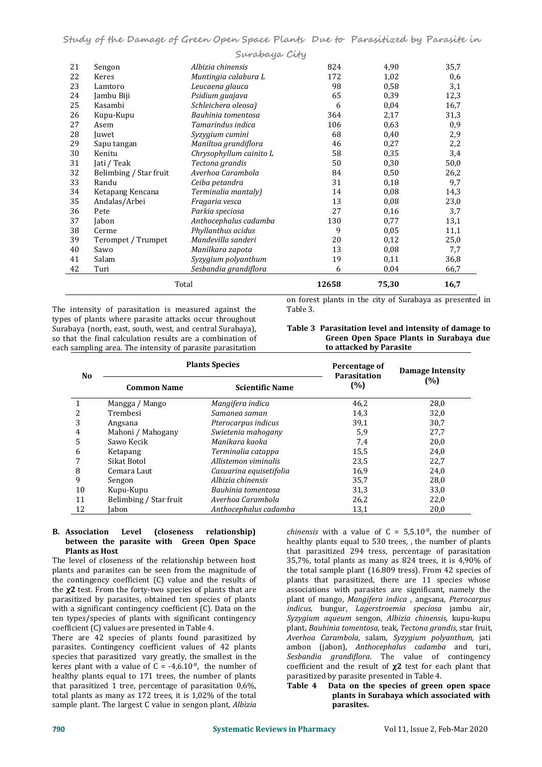|    |                        | Surabaya City           |       |       |      |
|----|------------------------|-------------------------|-------|-------|------|
| 21 | Sengon                 | Albizia chinensis       | 824   | 4,90  | 35,7 |
| 22 | Keres                  | Muntingia calabura L    | 172   | 1,02  | 0,6  |
| 23 | Lamtoro                | Leucaena glauca         | 98    | 0,58  | 3,1  |
| 24 | Jambu Biji             | Psidium guajava         | 65    | 0,39  | 12,3 |
| 25 | Kasambi                | Schleichera oleosa)     | 6     | 0,04  | 16,7 |
| 26 | Kupu-Kupu              | Bauhinia tomentosa      | 364   | 2,17  | 31,3 |
| 27 | Asem                   | Tamarindus indica       | 106   | 0,63  | 0,9  |
| 28 | Juwet                  | Syzygium cumini         | 68    | 0,40  | 2,9  |
| 29 | Sapu tangan            | Maniltoa grandiflora    | 46    | 0,27  | 2,2  |
| 30 | Kenitu                 | Chrysophyllum cainito L | 58    | 0.35  | 3,4  |
| 31 | Jati / Teak            | Tectona grandis         | 50    | 0,30  | 50,0 |
| 32 | Belimbing / Star fruit | Averhoa Carambola       | 84    | 0,50  | 26,2 |
| 33 | Randu                  | Ceiba petandra          | 31    | 0,18  | 9,7  |
| 34 | Ketapang Kencana       | Terminalia mantaly)     | 14    | 0,08  | 14,3 |
| 35 | Andalas/Arbei          | Fragaria vesca          | 13    | 0,08  | 23,0 |
| 36 | Pete                   | Parkia speciosa         | 27    | 0,16  | 3,7  |
| 37 | Jabon                  | Anthocephalus cadamba   | 130   | 0,77  | 13,1 |
| 38 | Cerme                  | Phyllanthus acidus      | 9     | 0.05  | 11,1 |
| 39 | Terompet / Trumpet     | Mandevilla sanderi      | 20    | 0,12  | 25,0 |
| 40 | Sawo                   | Manilkara zapota        | 13    | 0,08  | 7,7  |
| 41 | Salam                  | Syzygium polyanthum     | 19    | 0,11  | 36,8 |
| 42 | Turi                   | Sesbandia grandiflora   | 6     | 0,04  | 66,7 |
|    |                        | Total                   | 12658 | 75,30 | 16,7 |

The intensity of parasitation is measured against the types of plants where parasite attacks occur throughout Surabaya (north, east, south, west, and central Surabaya), so that the final calculation results are a combination of each sampling area. The intensity of parasite parasitation

on forest plants in the city of Surabaya as presented in Table 3.

| Table 3 Parasitation level and intensity of damage to |
|-------------------------------------------------------|
| Green Open Space Plants in Surabaya due               |
| to attacked by Parasite                               |

| No |                        | <b>Plants Species</b>   | Percentage of<br><b>Parasitation</b> | <b>Damage Intensity</b> |  |
|----|------------------------|-------------------------|--------------------------------------|-------------------------|--|
|    | <b>Common Name</b>     | <b>Scientific Name</b>  | (%)                                  | $(\%)$                  |  |
|    | Mangga / Mango         | Mangifera indica        | 46,2                                 | 28,0                    |  |
|    | Trembesi               | Samanea saman           | 14,3                                 | 32,0                    |  |
| 3  | Angsana                | Pterocarpus indicus     | 39,1                                 | 30,7                    |  |
| 4  | Mahoni / Mahogany      | Swietenia mahogany      | 5,9                                  | 27,7                    |  |
| 5  | Sawo Kecik             | Manikara kaoka          | 7,4                                  | 20,0                    |  |
| 6  | Ketapang               | Terminalia catappa      | 15,5                                 | 24,0                    |  |
|    | Sikat Botol            | Allistemon viminalis    | 23,5                                 | 22,7                    |  |
| 8  | Cemara Laut            | Casuarina equisetifolia | 16,9                                 | 24,0                    |  |
| 9  | Sengon                 | Albizia chinensis       | 35,7                                 | 28,0                    |  |
| 10 | Kupu-Kupu              | Bauhinia tomentosa      | 31,3                                 | 33,0                    |  |
| 11 | Belimbing / Star fruit | Averhoa Carambola       | 26,2                                 | 22,0                    |  |
| 12 | Jabon                  | Anthocephalus cadamba   | 13,1                                 | 20,0                    |  |

# **B. Association Level (closeness relationship) between the parasite with Green Open Space Plants as Host**

The level of closeness of the relationship between host plants and parasites can be seen from the magnitude of the contingency coefficient (C) value and the results of the **χ2** test. From the forty-two species of plants that are parasitized by parasites, obtained ten species of plants with a significant contingency coefficient (C). Data on the *indicus*, bungur, *Lagerstroemia speciosa* jambu air,<br>ten types/species of plants with significant contingency *Syzygium aqueum* sengon, *Albizia chinensis*, kup coefficient (C) values are presented in Table 4.

There are 42 species of plants found parasitized by *Averhoa Carambola, salam, Syzygium polyanthum,* jati parasites. Contingency coefficient values of 42 plants ambon (jabon), Anthocephalus cadamba and turi, parasites. Contingency coefficient values of 42 plants species that parasitized vary greatly, the smallest in the keres plant with a value of  $C = -4.6.10^{-8}$ , the number of coeffic healthy plants equal to 171 trees, the number of plants parasitized by parasite presented in Table 4. that parasitized 1 tree, percentage of parasitation 0,6%, total plants as many as 172 trees, it is 1,02% of the total sample plant. The largest C value in sengon plant, *Albizia*

ten types/species of plants with significant contingency Syzygium aqueum sengon, Albizia chinensis, kupu-kupu<br>coefficient (C) values are presented in Table 4. Teating plant, Bauhinia tomentosa, teak, Tectona grandis, star *chinensis* with a value of  $C = 5,5.10^8$ , the number of healthy plants equal to 530 trees, , the number of plants that parasitized 294 tress, percentage of parasitation 35,7%, total plants as many as 824 trees, it is 4,90% of the total sample plant (16.809 tress). From 42 species of plants that parasitized, there are 11 species whose associations with parasites are significant, namely the plant of mango, *Mangifera indica* , angsana, *Pterocarpus indicus, bungur, Lagerstroemia speciosa* jambu air, plant, *Bauhinia tomentosa,* teak, *Tectona grandis,* star fruit, *Averhoa Carambola,* salam, *Syzygium polyanthum,* jati Sesbandia grandiflora. The value of contingency coefficient and the result of **χ2** test for each plant that

# parasitized by parasite presented in Table 4. **Table <sup>4</sup> Data on the species of green open space plants in Surabaya which associated with parasites.**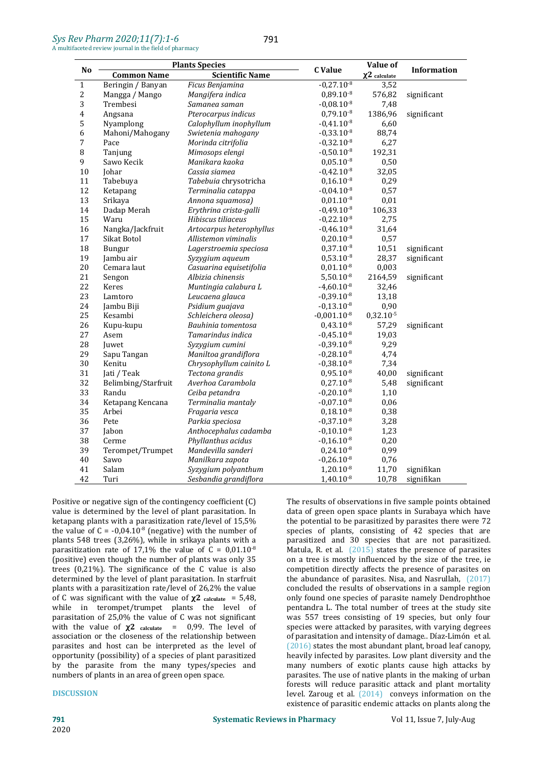| No           | <b>Plants Species</b> |                          | C Value          | Value of                      | <b>Information</b> |  |
|--------------|-----------------------|--------------------------|------------------|-------------------------------|--------------------|--|
|              | <b>Common Name</b>    | <b>Scientific Name</b>   |                  | $\chi$ <sup>2</sup> calculate |                    |  |
| $\mathbf{1}$ | Beringin / Banyan     | Ficus Benjamina          | $-0,27.10^{-8}$  | 3,52                          |                    |  |
| 2            | Mangga / Mango        | Mangifera indica         | $0,89.10^{-8}$   | 576,82                        | significant        |  |
| 3            | Trembesi              | Samanea saman            | $-0,08.10^{-8}$  | 7,48                          |                    |  |
| 4            | Angsana               | Pterocarpus indicus      | $0,79.10^{-8}$   | 1386,96                       | significant        |  |
| 5            | Nyamplong             | Calophyllum inophyllum   | $-0,41.10^{-8}$  | 6,60                          |                    |  |
| 6            | Mahoni/Mahogany       | Swietenia mahogany       | $-0,33.10^{-8}$  | 88,74                         |                    |  |
| 7            | Pace                  | Morinda citrifolia       | $-0,32.10^{-8}$  | 6,27                          |                    |  |
| 8            | Tanjung               | Mimosops elengi          | $-0,50.10^{-8}$  | 192,31                        |                    |  |
| 9            | Sawo Kecik            | Manikara kaoka           | $0,05.10^{-8}$   | 0,50                          |                    |  |
| 10           | Johar                 | Cassia siamea            | $-0,42.10^{-8}$  | 32,05                         |                    |  |
| 11           | Tabebuya              | Tabebuia chrysotricha    | $0,16.10^{-8}$   | 0,29                          |                    |  |
| 12           | Ketapang              | Terminalia catappa       | $-0.04.10^{-8}$  | 0,57                          |                    |  |
| 13           | Srikaya               | Annona squamosa)         | $0,01.10^{-8}$   | 0,01                          |                    |  |
| 14           | Dadap Merah           | Erythrina crista-galli   | $-0,49.10^{-8}$  | 106,33                        |                    |  |
| 15           | Waru                  | Hibiscus tiliaceus       | $-0,22.10^{-8}$  | 2,75                          |                    |  |
| 16           | Nangka/Jackfruit      | Artocarpus heterophyllus | $-0,46.10^{-8}$  | 31,64                         |                    |  |
| 17           | Sikat Botol           | Allistemon viminalis     | $0,20.10^{-8}$   | 0,57                          |                    |  |
| 18           | Bungur                | Lagerstroemia speciosa   | $0,37.10^{-8}$   | 10,51                         | significant        |  |
| 19           | Jambu air             | Syzygium aqueum          | $0,53.10^{-8}$   | 28,37                         | significant        |  |
| 20           | Cemara laut           | Casuarina equisetifolia  | $0,01.10^{-8}$   | 0,003                         |                    |  |
| 21           | Sengon                | Albizia chinensis        | $5,50.10^{-8}$   | 2164,59                       | significant        |  |
| 22           | Keres                 | Muntingia calabura L     | $-4,60.10^{-8}$  | 32,46                         |                    |  |
| 23           | Lamtoro               | Leucaena glauca          | $-0,39.10^{-8}$  | 13,18                         |                    |  |
| 24           | Jambu Biji            | Psidium guajava          | $-0,13.10^{-8}$  | 0,90                          |                    |  |
| 25           | Kesambi               | Schleichera oleosa)      | $-0,001.10^{-8}$ | $0,32.10^{-5}$                |                    |  |
| 26           | Kupu-kupu             | Bauhinia tomentosa       | $0,43.10^{-8}$   | 57,29                         | significant        |  |
| 27           | Asem                  | Tamarindus indica        | $-0,45.10^{-8}$  | 19,03                         |                    |  |
| 28           | Juwet                 | Syzygium cumini          | $-0,39.10^{-8}$  | 9,29                          |                    |  |
| 29           | Sapu Tangan           | Maniltoa grandiflora     | $-0,28.10^{-8}$  | 4,74                          |                    |  |
| 30           | Kenitu                | Chrysophyllum cainito L  | $-0,38.10^{-8}$  | 7,34                          |                    |  |
| 31           | Jati / Teak           | Tectona grandis          | $0,95.10^{-8}$   | 40,00                         | significant        |  |
| 32           | Belimbing/Starfruit   | Averhoa Carambola        | $0,27.10^{-8}$   | 5,48                          | significant        |  |
| 33           | Randu                 | Ceiba petandra           | $-0,20.10^{-8}$  | 1,10                          |                    |  |
| 34           | Ketapang Kencana      | Terminalia mantaly       | $-0,07.10^{-8}$  | 0,06                          |                    |  |
| 35           | Arbei                 | Fragaria vesca           | $0,18.10^{-8}$   | 0,38                          |                    |  |
| 36           | Pete                  | Parkia speciosa          | $-0,37.10^{-8}$  | 3,28                          |                    |  |
| 37           | Jabon                 | Anthocephalus cadamba    | $-0,10.10^{-8}$  | 1,23                          |                    |  |
| 38           | Cerme                 | Phyllanthus acidus       | $-0,16.10^{-8}$  | 0,20                          |                    |  |
| 39           | Terompet/Trumpet      | Mandevilla sanderi       | $0,24.10^{-8}$   | 0,99                          |                    |  |
| 40           | Sawo                  | Manilkara zapota         | $-0,26.10^{-8}$  | 0,76                          |                    |  |
| 41           | Salam                 | Syzygium polyanthum      | $1,20.10^{-8}$   | 11,70                         | signifikan         |  |
| 42           | Turi                  | Sesbandia grandiflora    | $1,40.10^{-8}$   | 10,78                         | signifikan         |  |
|              |                       |                          |                  |                               |                    |  |

Positive or negative sign of the contingency coefficient (C) value is determined by the level of plant parasitation. In ketapang plants with a parasitization rate/level of 15,5% the value of  $C = -0.04.10^{-8}$  (negative) with the number of species plants 548 trees (3,26%), while in srikaya plants with a parasitization rate of 17,1% the value of  $C = 0.01.10^{-8}$ (positive) even though the number of plants was only 35 trees  $(0,21\%)$ . The significance of the C value is also determined by the level of plant parasitation. In starfruit plants with a parasitization rate/level of 26,2% the value of C was significant with the value of  $\chi$ 2 calculate = 5,48, while in terompet/trumpet plants the level of parasitation of  $25,0\%$  the value of C was not significant with the value of **χ2 calculate** = 0,99. The level of association or the closeness of the relationship between parasites and host can be interpreted as the level of opportunity (possibility) of a species of plant parasitized by the parasite from the many types/species and numbers of plants in an area of green open space.

# **DISCUSSION**

 $^{8}$  Matula, R. et al.  $(2015)$  states the presence of parasites The results of observations in five sample points obtained data of green open space plants in Surabaya which have the potential to be parasitized by parasites there were 72 species of plants, consisting of 42 species that are parasitized and 30 species that are not parasitized. on a tree is mostly influenced by the size of the tree, ie competition directly affects the presence of parasites on the abundance of parasites. Nisa, and Nasrullah, (2017) concluded the results of observations in a sample region only found one species of parasite namely Dendrophthoe pentandra L. The total number of trees at the study site was 557 trees consisting of 19 species, but only four species were attacked by parasites, with varying degrees of parasitation and intensity of damage.. Díaz-Limón et al. (2016) states the most abundant plant, broad leaf canopy, heavily infected by parasites. Low plant diversity and the many numbers of exotic plants cause high attacks by parasites. The use of native plants in the making of urban forests will reduce parasitic attack and plant mortality level. Zaroug et al. (2014) conveys information on the existence of parasitic endemic attacks on plants along the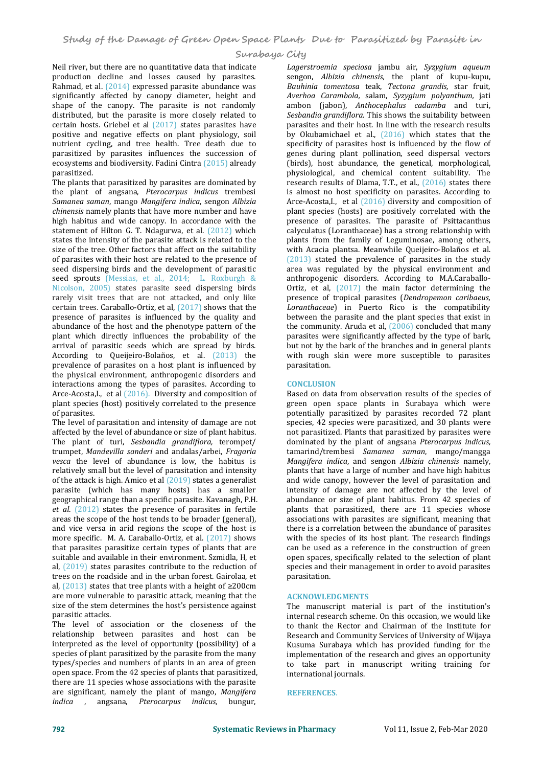Neil river, but there are no quantitative data that indicate *Lagerstroemia speciosa* jambu air, *Syzygium aqueum*<br>production decline and losses caused by parasites. Sengon. Albizia chinensis, the plant of kupu-kupu. production decline and losses caused by parasites. Sengon, *Albizia chinensis*, the plant of kupu-kupu,<br>Rahmad, et al. (2014) expressed-parasite-abundance-was Bauhinia tomentosa teak, *Tectona grandis*, star fruit, Rahmad, et al. (2014) expressed parasite abundance was significantly affected by canopy diameter, height and *Averhoa Carambola, salam, Syzygium polyanthum,* jati shape of the canopy. The parasite is not randomly ambon (jabon), *Anthocephalus cadamba* and turi, shape of the canopy. The parasite is not randomly distributed, but the parasite is more closely related to certain hosts. Griebel et al (2017) states parasites have positive and negative effects on plant physiology, soil nutrient cycling, and tree health. Tree death due to parasitized by parasites influences the succession of ecosystems and biodiversity. Fadini Cintra (2015) already parasitized.

The plants that parasitized by parasites are dominated by the plant of angsana, *Pterocarpus indicus* trembesi *Samanea saman*, mango *Mangifera indica*, sengon *Albizia chinensis* namely plants that have more number and have high habitus and wide canopy. In accordance with the statement of Hilton G. T. Ndagurwa, et al. (2012) which states the intensity of the parasite attack is related to the size of the tree. Other factors that affect on the suitability of parasites with their host are related to the presence of seed dispersing birds and the development of parasitic seed sprouts (Messias, et al., 2014; L. Roxburgh & Nicolson, 2005) states parasite seed dispersing birds ortiz, et al, (2017) the main factor determining the rarely visit trees that are not attacked, and only like presence of tropical parasites (Dendropemon caribaeus, rarely visit trees that are not attacked, and only like certain trees. Caraballo-Ortiz, et al, (2017) shows that the presence of parasites is influenced by the quality and abundance of the host and the phenotype pattern of the plant which directly influences the probability of the arrival of parasitic seeds which are spread by birds. According to Queijeiro-Bolaños, et al. (2013) the prevalence of parasites on a host plant is influenced by the physical environment, anthropogenic disorders and interactions among the types of parasites. According to Arce-Acosta,I., et al (2016). Diversity and composition of plant species (host) positively correlated to the presence of parasites.

The level of parasitation and intensity of damage are not affected by the level of abundance or size of plant habitus. The plant of turi, *Sesbandia grandiflora,* terompet/ trumpet, *Mandevilla sanderi* and andalas/arbei,*Fragaria vesca* the level of abundance is low, the habitus is relatively small but the level of parasitation and intensity of the attack is high. Amico et al  $(2019)$  states a generalist parasite (which has many hosts) has a smaller geographical range than a specific parasite. Kavanagh, P.H. et al. (2012) states the presence of parasites in fertile areas the scope of the host tends to be broader (general), and vice versa in arid regions the scope of the host is more specific. M. A. Caraballo-Ortiz, et al. (2017) shows that parasites parasitize certain types of plants that are suitable and available in their environment. Szmidla, H, et al, (2019) states parasites contribute to the reduction of trees on the roadside and in the urban forest. Gairolaa, et al, (2013) states that tree plants with a height of ≥200cm are more vulnerable to parasitic attack, meaning that the size of the stem determines the host's persistence against parasitic attacks.

The level of association or the closeness of the relationship between parasites and host can be interpreted as the level of opportunity (possibility) of a species of plant parasitized by the parasite from the many types/species and numbers of plants in an area of green open space. From the 42 species of plants that parasitized, there are 11 species whose associations with the parasite are significant, namely the plant of mango, *Mangifera indica* , angsana, *Pterocarpus indicus,* bungur,

*Lagerstroemia speciosa* jambu air, *Syzygium aqueum* Averhoa Carambola, salam, Syzygium polyanthum, jati Sesbandia grandiflora. This shows the suitability between parasites and their host. In line with the research results by Okubamichael et al.,  $(2016)$  which states that the specificity of parasites host is influenced by the flow of genes during plant pollination, seed dispersal vectors (birds), host abundance, the genetical, morphological, physiological, and chemical content suitability. The research results of Dlama, T.T., et al., (2016) states there is almost no host specificity on parasites. According to Arce-Acosta,I., et al (2016) diversity and composition of plant species (hosts) are positively correlated with the presence of parasites. The parasite of Psittacanthus calyculatus (Loranthaceae) has a strong relationship with plants from the family of Leguminosae, among others, with Acacia plantsa. Meanwhile Queijeiro-Bolaños et al. (2013) stated the prevalence of parasites in the study area was regulated by the physical environment and anthropogenic disorders. According to M.A.Caraballo- Ortiz, et al, (2017) the main factor determining the presence of tropical parasites (*Dendropemon caribaeus, Loranthaceae*) in Puerto Rico is the compatibility between the parasite and the plant species that exist in the community.Aruda et al, (2006) concluded that many parasites were significantly affected by the type of bark, but not by the bark of the branches and in general plants with rough skin were more susceptible to parasites parasitation.

### **CONCLUSION**

Based on data from observation results of the species of green open space plants in Surabaya which were potentially parasitized by parasites recorded 72 plant species, 42 species were parasitized, and 30 plants were not parasitized. Plants that parasitized by parasites were dominated by the plant of angsana *Pterocarpus indicus,* tamarind/trembesi *Samanea saman*, mango/mangga *Mangifera indica*, and sengon *Albizia chinensis* namely, plants that have a large of number and have high habitus and wide canopy, however the level of parasitation and intensity of damage are not affected by the level of abundance or size of plant habitus. From 42 species of plants that parasitized, there are 11 species whose associations with parasites are significant, meaning that there is a correlation between the abundance of parasites with the species of its host plant. The research findings can be used as a reference in the construction of green open spaces, specifically related to the selection of plant species and their management in order to avoid parasites parasitation.

### **ACKNOWLEDGMENTS**

The manuscript material is part of the institution's internal research scheme. On this occasion, we would like to thank the Rector and Chairman of the Institute for Research and Community Services of University of Wijaya Kusuma Surabaya which has provided funding for the implementation of the research and gives an opportunity to take part in manuscript writing training for international journals.

### **REFERENCES**.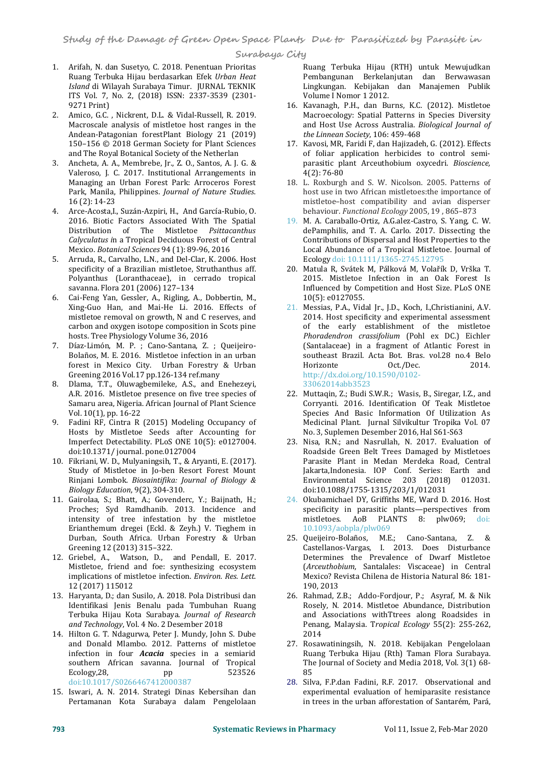- 1. Arifah, N. dan Susetyo, C. 2018. Penentuan Prioritas Ruang Terbuka Hijau berdasarkan Efek *Urban Heat Island* di Wilayah Surabaya Timur. JURNAL TEKNIK ITS Vol. 7, No. 2, (2018) ISSN: 2337-3539 (2301- 9271 Print)
- 2. Amico, G.C. , Nickrent, D.L. & Vidal-Russell, R. 2019. Macroscale analysis of mistletoe host ranges in the Andean-Patagonian forestPlant Biology 21 (2019) 150–156 © 2018 German Society for Plant Sciences and The Royal Botanical Society of the Netherlan
- 3. Ancheta, A. A., Membrebe, Jr., Z. O., Santos, A. J. G. & Valeroso, J. C. 2017. Institutional Arrangements in Managing an Urban Forest Park: Arroceros Forest Park, Manila, Philippines. *Journal of Nature Studies*. 16 (2): 14-23
- 4. Arce-Acosta,I., Suzán-Azpiri, H., And García-Rubio, O. 2016. Biotic Factors Associated With The Spatial<br>Distribution of The Mistletoe Psittacanthus Calyculatus in a Tropical Deciduous Forest of Central Mexico. *Botanical Sciences* 94 (1): 89-96, 2016
- 5. Arruda, R., Carvalho, L.N., and Del-Clar, K. 2006. Host specificity of a Brazilian mistletoe, Struthanthus aff. Polyanthus (Loranthaceae), in cerrado tropical savanna. Flora 201 (2006) 127–134
- 6. Cai-Feng Yan, Gessler, A., Rigling, A., Dobbertin, M., Xing-Guo Han, and Mai-He Li. 2016. Effects of carbon and oxygen isotope composition in Scots pine hosts. Tree Physiology Volume 36, 2016
- 7. Díaz-Limón, M. P. ; Cano-Santana, Z. ; Queijeiro- Bolaños, M. E. 2016. Mistletoe infection in an urban forest in Mexico City. Urban Forestry & Urban Greening 2016 Vol.17 pp.126-134 ref.many
- 8. Dlama, T.T., Oluwagbemileke, A.S., and Enehezeyi, A.R. 2016. Mistletoe presence on five tree species of Samaru area, Nigeria. African Journal of Plant Science Vol. 10(1), pp. 16-22
- 9. Fadini RF, Cintra R (2015) Modeling Occupancy of Hosts by Mistletoe Seeds after Accounting for Imperfect Detectability. PLoS ONE 10(5): e0127004. doi:10.1371/ journal. pone.0127004
- 10. Fikriani, W. D., Mulyaningsih, T., & Aryanti, E. (2017). Study of Mistletoe in Jo-ben Resort Forest Mount Rinjani Lombok. *Biosaintifika: Journal of Biology & Biology Education*, 9(2), 304-310.
- 11. Gairolaa, S.; Bhatt, A.; Govenderc, Y.; Baijnath, H.; Proches; Syd Ramdhanib. 2013. Incidence and intensity of tree infestation by the mistletoe Erianthemum dregei (Eckl. & Zeyh.) V. Tieghem in Durban, South Africa. Urban Forestry & Urban Greening 12 (2013) 315–322.
- 12. Griebel, A., Watson, D., and Pendall, E. 2017. Mistletoe, friend and foe: synthesizing ecosystem implications of mistletoe infection. *Environ. Res. Lett.* 12 (2017) 115012
- 13. Haryanta, D.; dan Susilo, A. 2018. Pola Distribusi dan Identifikasi Jenis Benalu pada Tumbuhan Ruang Terbuka Hijau Kota Surabaya. *Journal of Research and Technology*, Vol. 4 No. 2 Desember 2018
- 14. Hilton G. T. Ndagurwa, Peter J. Mundy, John S. Dube and Donald Mlambo. 2012. Patterns of mistletoe infection in four *Acacia* species in a semiarid southern African savanna. Journal of Tropical<br>Ecology, 28, pp 523526 Ecology, 28, pp 523526 85 doi:10.1017/S0266467412000387
- 15. Iswari, A. N. 2014. Strategi Dinas Kebersihan dan Pertamanan Kota Surabaya dalam Pengelolaan

Ruang Terbuka Hijau (RTH) untuk Mewujudkan Pembangunan Berkelanjutan dan Berwawasan Lingkungan. Kebijakan dan Manajemen Publik Volume I Nomor 1 2012.

- 16. Kavanagh, P.H., dan Burns, K.C. (2012). Mistletoe Macroecology: Spatial Patterns in Species Diversity and Host Use Across Australia. *Biological Journal of the Linnean Society*, 106: 459-468
- 17. Kavosi, MR, Faridi F, dan Hajizadeh, G. (2012)*.* Effects of foliar application herbicides to control semi parasitic plant Arceuthobium oxycedri. *Bioscience,* 4(2): 76-80
- 18. L. Roxburgh and S. W. Nicolson. 2005. Patterns of host use in two African mistletoes:the importance of mistletoe–host compatibility and avian disperser behaviour. *Functional Ecology* 2005, 19 , 865–873
- 19. M. A. Caraballo-Ortiz, A.G.alez-Castro, S. Yang, C. W. dePamphilis, and T. A. Carlo. 2017. Dissecting the Contributions of Dispersal and Host Properties to the Local Abundance of a Tropical Mistletoe. Journal of Ecology doi: 10.1111/1365-2745.12795
- 20. Matula R, Svátek M, Pálková M, Volařík D, Vrška T. 2015. Mistletoe Infection in an Oak Forest Is Influenced by Competition and Host Size. PLoS ONE 10(5): e0127055.
- mistletoe removal on growth, N and C reserves, and 2014. Host specificity and experimental assessment carbon and oxygen isotope composition in Scots pine of the early establishment of the mistletoe 21. Messias, P.A., Vidal Jr., J.D., Koch, I.,Christianini, A.V. 2014. Host specificity and experimental assessment Phoradendron crassifolium (Pohl ex DC.) Eichler (Santalaceae) in a fragment of Atlantic Forest in southeast Brazil. Acta Bot. Bras. vol.28 no.4 Belo Horizonte http://dx.doi.org/10.1590/0102-

33062014abb3523

- 22. Muttaqin, Z.; Budi S.W.R.; Wasis, B., Siregar, I.Z., and Corryanti. 2016. Identification Of Teak Mistletoe Species And Basic Information Of Utilization As Medicinal Plant. Jurnal Silvikultur Tropika Vol. 07 No. 3, Suplemen Desember 2016, Hal S61-S63
- 23. Nisa, R.N.; and Nasrullah, N. 2017. Evaluation of Roadside Green Belt Trees Damaged by Mistletoes Parasite Plant in Medan Merdeka Road, Central Jakarta,Indonesia. IOP Conf. Series: Earth and Environmental Science 203 (2018) 012031. doi:10.1088/1755-1315/203/1/012031
- 24. Okubamichael DY, Griffiths ME, Ward D. 2016. Host specificity in parasitic plants—perspectives from mistletoes. AoB PLANTS 8: plw069; doi: 10.1093/aobpla/plw069
- 25. Queijeiro-Bolaños, M.E.; Cano-Santana, Z. & Castellanos-Vargas, I. 2013. Does Disturbance Determines the Prevalence of Dwarf Mistletoe (*Arceuthobium*, Santalales: Viscaceae) in Central Mexico? Revista Chilena de Historia Natural 86: 181- 190, 2013
- 26. Rahmad, Z.B.; Addo-Fordjour, P.; Asyraf, M. & Nik Rosely, N. 2014. Mistletoe Abundance, Distribution and Associations withTtrees along Roadsides in Penang, Malaysia. T*ropical Ecology* 55(2): 255-262, 2014
- 27. Rosawatiningsih, N. 2018. Kebijakan Pengelolaan Ruang Terbuka Hijau (Rth) Taman Flora Surabaya. The Journal of Society and Media 2018, Vol. 3(1) 68- 85 and the set of the set of the set of the set of the set of the set of the set of the set of the set of the
- 28. Silva, F.P.dan Fadini, R.F. 2017. Observational and experimental evaluation of hemiparasite resistance in trees in the urban afforestation of Santarém, Pará,